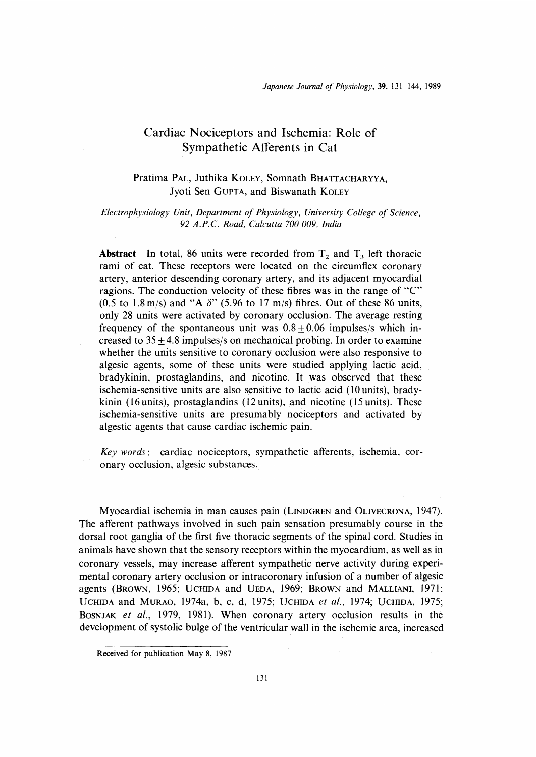# Cardiac Nociceptors and Ischemia: Role of Sympathetic Afferents in Cat

## Pratima PAL, Juthika KOLEY, Somnath BHATTACHARYYA, Jyoti Sen GUPTA, and Biswanath KOLEY

### Electrophysiology Unit, Department of Physiology, University College of Science, 92 A.P.C. Road, Calcutta 700 009, India

**Abstract** In total, 86 units were recorded from  $T_2$  and  $T_3$  left thoracic rami of cat. These receptors were located on the circumflex coronary artery, anterior descending coronary artery, and its adjacent myocardial ragions. The conduction velocity of these fibres was in the range of "C" (0.5 to 1.8 m/s) and "A  $\delta$ " (5.96 to 17 m/s) fibres. Out of these 86 units, only 28 units were activated by coronary occlusion. The average resting frequency of the spontaneous unit was  $0.8 \pm 0.06$  impulses/s which increased to  $35 \pm 4.8$  impulses/s on mechanical probing. In order to examine whether the units sensitive to coronary occlusion were also responsive to algesic agents, some of these units were studied applying lactic acid, bradykinin, prostaglandins, and nicotine. It was observed that these ischemia-sensitive units are also sensitive to lactic acid (10 units), bradykinin (16 units), prostaglandins (12 units), and nicotine (15 units). These ischemia-sensitive units are presumably nociceptors and activated by algestic agents that cause cardiac ischemic pain.

Key words: cardiac nociceptors, sympathetic afferents, ischemia, coronary occlusion, algesic substances

 Myocardial ischemia in man causes pain (LINDGREN and OLIVECRONA, 1947). The afferent pathways involved in such pain sensation presumably course in the dorsal root ganglia of the first five thoracic segments of the spinal cord. Studies in animals have shown that the sensory receptors within the myocardium, as well as in coronary vessels, may increase afferent sympathetic nerve activity during experimental coronary artery occlusion or intracoronary infusion of a number of algesic agents (BROWN, 1965; UCHIDA and VEDA, 1969; BROWN and MALLIANI, 1971; UCHIDA and MURAO, 1974a, b, c, d, 1975; UCHIDA et al., 1974; UCHIDA, 1975; BOSNJAK et al., 1979, 1981). When coronary artery occlusion results in the development of systolic bulge of the ventricular wall in the ischemic area, increased

Received for publication May 8, 1987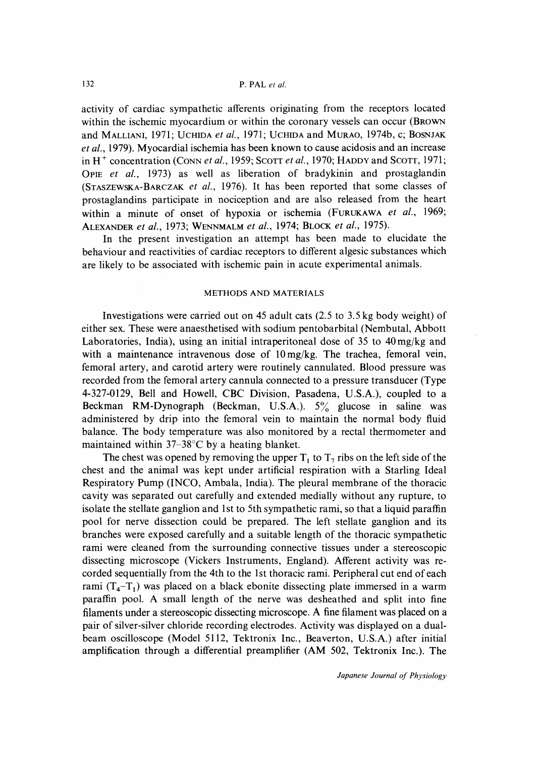activity of cardiac sympathetic afferents originating from the receptors located within the ischemic myocardium or within the coronary vessels can occur (BRowN and MALLIANI, 1971; UCHIDA et al., 1971; UCHIDA and MURAO, 1974b, c; BOSNJAK et al., 1979). Myocardial ischemia has been known to cause acidosis and an increase in H<sup>+</sup> concentration (CONN *et al.*, 1959; SCOTT *et al.*, 1970; HADDY and SCOTT, 1971; OPIE et al., 1973) as well as liberation of bradykinin and prostaglandin (STASZEWSKA-BARCZAK et al., 1976). It has been reported that some classes of prostaglandins participate in nociception and are also released from the heart within a minute of onset of hypoxia or ischemia (FURUKAWA et al., 1969; ALEXANDER et al., 1973; WENNMALM et al., 1974; BLOCK et al., 1975).

 In the present investigation an attempt has been made to elucidate the behaviour and reactivities of cardiac receptors to different algesic substances which are likely to be associated with ischemic pain in acute experimental animals.

#### METHODS AND MATERIALS

 Investigations were carried out on 45 adult cats (2.5 to 3.5 kg body weight) of either sex. These were anaesthetised with sodium pentobarbital (Nembutal, Abbott Laboratories, India), using an initial intraperitoneal dose of 35 to 40 mg/kg and with a maintenance intravenous dose of  $10 \frac{\text{mg}}{\text{kg}}$ . The trachea, femoral vein, femoral artery, and carotid artery were routinely cannulated. Blood pressure was recorded from the femoral artery cannula connected to a pressure transducer (Type 4-327-0129, Bell and Howell, CBC Division, Pasadena, U.S.A.), coupled to a Beckman RM-Dynograph (Beckman, U.S.A.).  $5\%$  glucose in saline was administered by drip into the femoral vein to maintain the normal body fluid balance. The body temperature was also monitored by a rectal thermometer and maintained within  $37-38$ °C by a heating blanket.

The chest was opened by removing the upper  $T_1$  to  $T_7$  ribs on the left side of the chest and the animal was kept under artificial respiration with a Starling Ideal Respiratory Pump (INCO, Ambala, India). The pleural membrane of the thoracic cavity was separated out carefully and extended medially without any rupture, to isolate the stellate ganglion and 1st to 5th sympathetic rami, so that a liquid paraffin pool for nerve dissection could be prepared. The left stellate ganglion and its branches were exposed carefully and a suitable length of the thoracic sympathetic rami were cleaned from the surrounding connective tissues under a stereoscopic dissecting microscope (Vickers Instruments, England). Afferent activity was recorded sequentially from the 4th to the 1st thoracic rami. Peripheral cut end of each rami  $(T_4 - T_1)$  was placed on a black ebonite dissecting plate immersed in a warm paraffin pool. A small length of the nerve was desheathed and split into fine filaments under a stereoscopic dissecting microscope. A fine filament was placed on a pair of silver-silver chloride recording electrodes. Activity was displayed on a dualbeam oscilloscope (Model 5112, Tektronix Inc., Beaverton, U.S.A.) after initial amplification through a differential preamplifier (AM 502, Tektronix Inc.). The

Japanese Journal of Physiology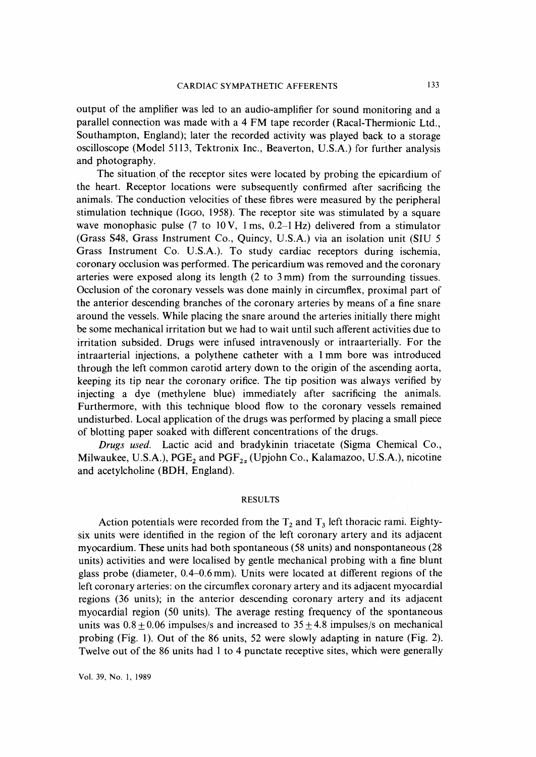output of the amplifier was led to an audio-amplifier for sound monitoring and a parallel connection was made with a 4 FM tape recorder (Racal-Thermionic Ltd., Southampton, England); later the recorded activity was played back to a storage oscilloscope (Model 5113, Tektronix Inc., Beaverton, U.S.A.) for further analysis and photography.

 The situation of the receptor sites were located by probing the epicardium of the heart. Receptor locations were subsequently confirmed after sacrificing the animals. The conduction velocities of these fibres were measured by the peripheral stimulation technique (IGGO, 1958). The receptor site was stimulated by a square wave monophasic pulse (7 to 10 V, 1 ms,  $0.2-1$  Hz) delivered from a stimulator (Grass S48, Grass Instrument Co., Quincy, U.S.A.) via an isolation unit (SIU 5 Grass Instrument Co. U.S.A.). To study cardiac receptors during ischemia, coronary occlusion was performed. The pericardium was removed and the coronary arteries were exposed along its length (2 to 3 mm) from the surrounding tissues. Occlusion of the coronary vessels was done mainly in circumflex, proximal part of the anterior descending branches of the coronary arteries by means of a fine snare around the vessels. While placing the snare around the arteries initially there might be some mechanical irritation but we had to wait until such afferent activities due to irritation subsided. Drugs were infused intravenously or intraarterially. For the intraarterial injections, a polythene catheter with a 1 mm bore was introduced through the left common carotid artery down to the origin of the ascending aorta, keeping its tip near the coronary orifice. The tip position was always verified by injecting a dye (methylene blue) immediately after sacrificing the animals. Furthermore, with this technique blood flow to the coronary vessels remained undisturbed. Local application of the drugs was performed by placing a small piece of blotting paper soaked with different concentrations of the drugs.

 Drugs used. Lactic acid and bradykinin triacetate (Sigma Chemical Co., Milwaukee, U.S.A.),  $PGE_2$  and  $PGF_{2\alpha}$  (Upjohn Co., Kalamazoo, U.S.A.), nicotine and acetylcholine (BDH, England).

#### RESULTS

Action potentials were recorded from the  $T_2$  and  $T_3$  left thoracic rami. Eightysix units were identified in the region of the left coronary artery and its adjacent myocardium. These units had both spontaneous (58 units) and nonspontaneous (28 units) activities and were localised by gentle mechanical probing with a fine blunt glass probe (diameter, 0.4-0.6 mm). Units were located at different regions of the left coronary arteries: on the circumflex coronary artery and its adjacent myocardial regions (36 units); in the anterior descending coronary artery and its adjacent myocardial region (50 units). The average resting frequency of the spontaneous units was  $0.8 + 0.06$  impulses/s and increased to  $35 \pm 4.8$  impulses/s on mechanical probing (Fig. 1). Out of the 86 units, 52 were slowly adapting in nature (Fig. 2). Twelve out of the 86 units had 1 to 4 punctate receptive sites, which were generally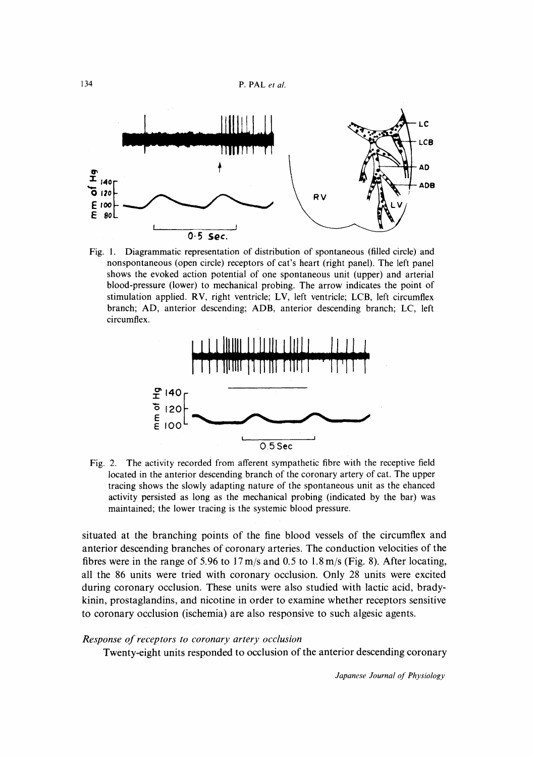

Fig. 1. Diagrammatic representation of distribution of spontaneous (filled circle) and nonspontaneous (open circle) receptors of cat's heart (right panel). The left panel shows the evoked action potential of one spontaneous unit (upper) and arterial blood-pressure (lower) to mechanical probing. The arrow indicates the point of stimulation applied. RV, right ventricle; LV, left ventricle; LCB, left circumflex branch; AD, anterior descending; ADB, anterior descending branch; LC, left circumflex.



Fig. 2. The activity recorded from afferent sympathetic fibre with the receptive field located in the anterior descending branch of the coronary artery of cat. The upper tracing shows the slowly adapting nature of the spontaneous unit as the ehanced activity persisted as long as the mechanical probing (indicated by the bar) was maintained; the lower tracing is the systemic blood pressure.

situated at the branching points of the fine blood vessels of the circumflex and anterior descending branches of coronary arteries. The conduction velocities of the fibres were in the range of 5.96 to 17 m/s and 0.5 to 1.8 m/s (Fig. 8). After locating, all the 86 units were tried with coronary occlusion. Only 28 units were excited during coronary occlusion. These units were also studied with lactic acid, bradykinin, prostaglandins, and nicotine in order to examine whether receptors sensitive to coronary occlusion (ischemia) are also responsive to such algesic agents.

#### Response of receptors to coronary artery occlusion

Twenty-eight units responded to occlusion of the anterior descending coronary

Japanese Journal of Physiology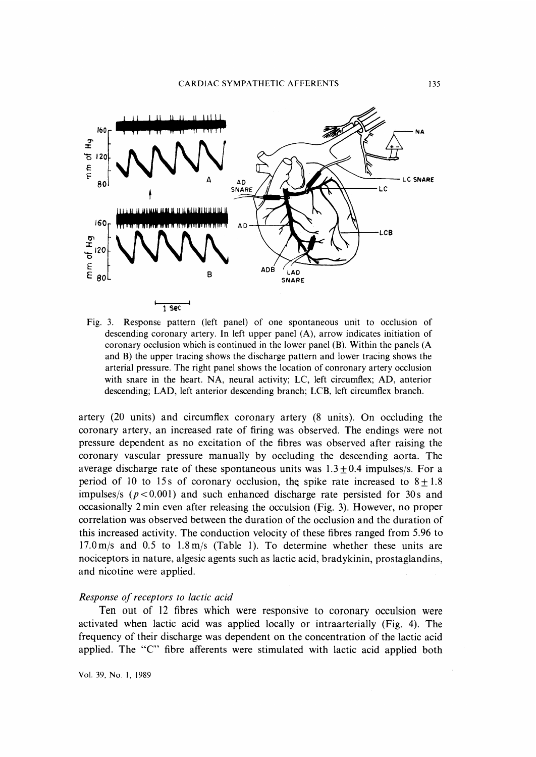

Fig. 3. Response pattern (left panel) of one spontaneous unit to occlusion of descending coronary artery. In left upper panel (A), arrow indicates initiation of coronary occlusion which is continued in the lower panel (B). Within the panels (A and B) the upper tracing shows the discharge pattern and lower tracing shows the arterial pressure. The right panel shows the location of conronary artery occlusion with snare in the heart. NA, neural activity; LC, left circumflex; AD, anterior descending; LAD, left anterior descending branch; LCB, left circumflex branch.

artery (20 units) and circumflex coronary artery (8 units). On occluding the coronary artery, an increased rate of firing was observed. The endings were not pressure dependent as no excitation of the fibres was observed after raising the coronary vascular pressure manually by occluding the descending aorta. The average discharge rate of these spontaneous units was  $1.3 \pm 0.4$  impulses/s. For a period of 10 to 15s of coronary occlusion, the spike rate increased to  $8+1.8$ impulses/s ( $p < 0.001$ ) and such enhanced discharge rate persisted for 30s and occasionally 2 min even after releasing the occulsion (Fig. 3). However, no proper correlation was observed between the duration of the occlusion and the duration of this increased activity. The conduction velocity of these fibres ranged from 5.96 to 17.0 m/s and 0.5 to 1.8 m/s (Table 1). To determine whether these units are nociceptors in nature, algesic agents such as lactic acid, bradykinin, prostaglandins, and nicotine were applied.

#### Response of receptors to lactic acid

 Ten out of 12 fibres which were responsive to coronary occulsion were activated when lactic acid was applied locally or intraarterially (Fig. 4). The frequency of their discharge was dependent on the concentration of the lactic acid applied. The "C" fibre afferents were stimulated with lactic acid applied both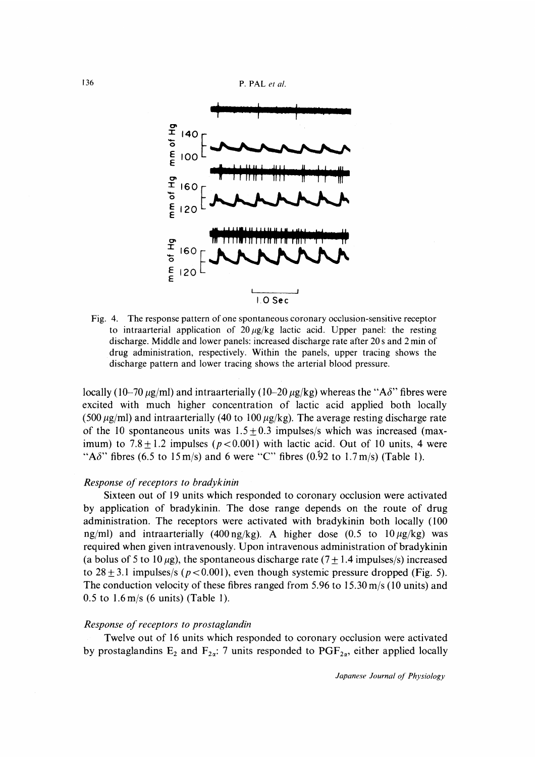136 **P. PAL** et al.



Fig. 4. The response pattern of one spontaneous coronary occlusion-sensitive receptor to intraarterial application of  $20 \mu g/kg$  lactic acid. Upper panel: the resting discharge. Middle and lower panels: increased discharge rate after 20s and 2 min of drug administration, respectively. Within the panels, upper tracing shows the discharge pattern and lower tracing shows the arterial blood pressure.

locally (10-70  $\mu$ g/ml) and intraarterially (10-20  $\mu$ g/kg) whereas the "A $\delta$ " fibres were excited with much higher concentration of lactic acid applied both locally (500  $\mu$ g/ml) and intraarterially (40 to 100  $\mu$ g/kg). The average resting discharge rate of the 10 spontaneous units was  $1.5 \pm 0.3$  impulses/s which was increased (maximum) to  $7.8 \pm 1.2$  impulses ( $p < 0.001$ ) with lactic acid. Out of 10 units, 4 were "A $\delta$ " fibres (6.5 to 15 m/s) and 6 were "C" fibres (0.92 to 1.7 m/s) (Table 1).

#### Response of receptors to bradykinin

 Sixteen out of 19 units which responded to coronary occlusion were activated by application of bradykinin. The dose range depends on the route of drug administration. The receptors were activated with bradykinin both locally (100 ng/ml) and intraarterially (400 ng/kg). A higher dose (0.5 to  $10 \mu g/kg$ ) was required when given intravenously. Upon intravenous administration of bradykinin (a bolus of 5 to 10  $\mu$ g), the spontaneous discharge rate (7  $\pm$  1.4 impulses/s) increased to  $28 \pm 3.1$  impulses/s ( $p < 0.001$ ), even though systemic pressure dropped (Fig. 5). The conduction velocity of these fibres ranged from 5.96 to 15.30 m/s (10 units) and 0.5 to 1.6 m/s (6 units) (Table 1).

#### Response of receptors to prostaglandin

 Twelve out of 16 units which responded to coronary occlusion were activated by prostaglandins  $E_2$  and  $F_{2\alpha}$ : 7 units responded to PGF<sub>2a</sub>, either applied locally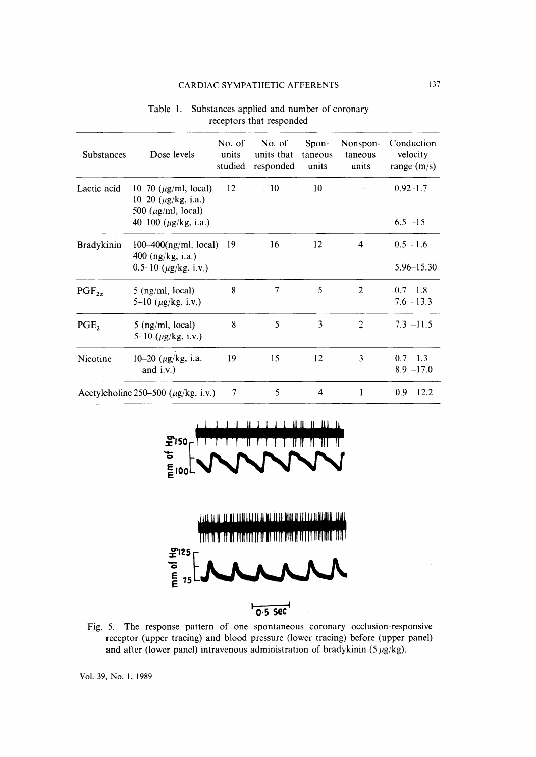## CARDIAC SYMPATHETIC AFFERENTS

| Table 1. Substances applied and number of coronary<br>receptors that responded |
|--------------------------------------------------------------------------------|
|                                                                                |

| <b>Substances</b>                         | Dose levels                                                                        | No. of<br>units<br>studied | No. of<br>units that<br>responded | Spon-<br>taneous<br>units | Nonspon-<br>taneous<br>units | Conduction<br>velocity<br>range $(m/s)$ |
|-------------------------------------------|------------------------------------------------------------------------------------|----------------------------|-----------------------------------|---------------------------|------------------------------|-----------------------------------------|
| Lactic acid                               | 10–70 ( $\mu$ g/ml, local)<br>10–20 $(\mu$ g/kg, i.a.)<br>500 ( $\mu$ g/ml, local) | 12                         | 10                                | 10                        |                              | $0.92 - 1.7$                            |
|                                           | 40–100 ( $\mu$ g/kg, i.a.)                                                         |                            |                                   |                           |                              | $6.5 - 15$                              |
| <b>Bradykinin</b>                         | $100-400(ng/ml, local)$<br>400 $(ng/kg, i.a.)$                                     | 19                         | 16                                | 12                        | 4                            | $0.5 - 1.6$                             |
|                                           | 0.5–10 $(\mu g/kg, i.v.)$                                                          |                            |                                   |                           |                              | 5.96-15.30                              |
| $PGF_{2a}$                                | 5 (ng/ml, local)<br>5–10 $(\mu g/kg, i.v.)$                                        | 8                          | $\overline{7}$                    | 5                         | $\overline{2}$               | $0.7 - 1.8$<br>$7.6 - 13.3$             |
| PGE,                                      | 5 (ng/ml, local)<br>5–10 $(\mu$ g/kg, i.v.)                                        | 8                          | 5                                 | 3                         | $\overline{c}$               | $7.3 - 11.5$                            |
| Nicotine                                  | 10-20 ( $\mu$ g/kg, i.a.<br>and $i.v.$ )                                           | 19                         | 15                                | 12                        | 3                            | $0.7 - 1.3$<br>$8.9 - 17.0$             |
| Acetylcholine 250-500 ( $\mu$ g/kg, i.v.) |                                                                                    | 7                          | 5                                 | 4                         | 1                            | $0.9 - 12.2$                            |

╨╨ пи  $\tilde{\mathbf{r}}$ 150 ITT  $\frac{1}{2}$   $\frac{1}{2}$   $\frac{1}{2}$   $\frac{1}{2}$   $\frac{1}{2}$   $\frac{1}{2}$   $\frac{1}{2}$   $\frac{1}{2}$   $\frac{1}{2}$   $\frac{1}{2}$   $\frac{1}{2}$   $\frac{1}{2}$   $\frac{1}{2}$   $\frac{1}{2}$   $\frac{1}{2}$   $\frac{1}{2}$   $\frac{1}{2}$   $\frac{1}{2}$   $\frac{1}{2}$   $\frac{1}{2}$   $\frac{1}{2}$   $\frac{1}{2}$ 



Fig. 5. The response pattern of one spontaneous coronary occlusion-responsive receptor (upper tracing) and blood pressure (lower tracing) before (upper panel) and after (lower panel) intravenous administration of bradykinin  $(5 \mu g/kg)$ .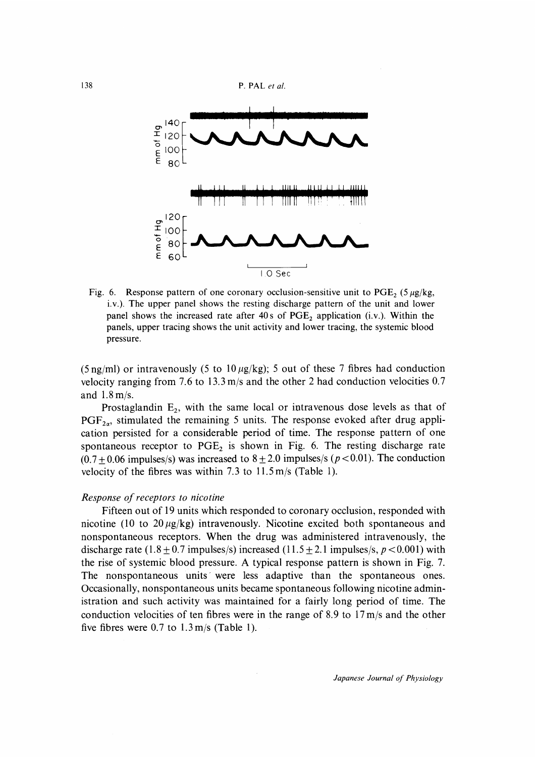



Fig. 6. Response pattern of one coronary occlusion-sensitive unit to PGE<sub>2</sub> (5  $\mu$ g/kg, i.v.). The upper panel shows the resting discharge pattern of the unit and lower panel shows the increased rate after  $40s$  of  $PGE_2$  application (i.v.). Within the panels, upper tracing shows the unit activity and lower tracing, the systemic blood pressure.

(5 ng/ml) or intravenously (5 to  $10 \mu g/kg$ ); 5 out of these 7 fibres had conduction velocity ranging from 7.6 to 13.3 m/s and the other 2 had conduction velocities 0.7 and 1.8 m/s.

Prostaglandin  $E_2$ , with the same local or intravenous dose levels as that of  $PGF_{2a}$ , stimulated the remaining 5 units. The response evoked after drug application persisted for a considerable period of time. The response pattern of one spontaneous receptor to  $PGE_2$  is shown in Fig. 6. The resting discharge rate  $(0.7 + 0.06$  impulses/s) was increased to  $8 \pm 2.0$  impulses/s ( $p < 0.01$ ). The conduction velocity of the fibres was within 7.3 to 11.5 m/s (Table 1).

#### Response of receptors to nicotine

 Fifteen out of 19 units which responded to coronary occlusion, responded with nicotine (10 to  $20 \mu g/kg$ ) intravenously. Nicotine excited both spontaneous and nonspontaneous receptors. When the drug was administered intravenously, the discharge rate  $(1.8 \pm 0.7 \text{ impulses/s})$  increased  $(11.5 \pm 2.1 \text{ impulses/s}, p < 0.001)$  with the rise of systemic blood pressure. A typical response pattern is shown in Fig. 7. The nonspontaneous units were less adaptive than the spontaneous ones. Occasionally, nonspontaneous units became spontaneous following nicotine administration and such activity was maintained for a fairly long period of time. The conduction velocities of ten fibres were in the range of 8.9 to 17 m/s and the other five fibres were  $0.7$  to  $1.3$  m/s (Table 1).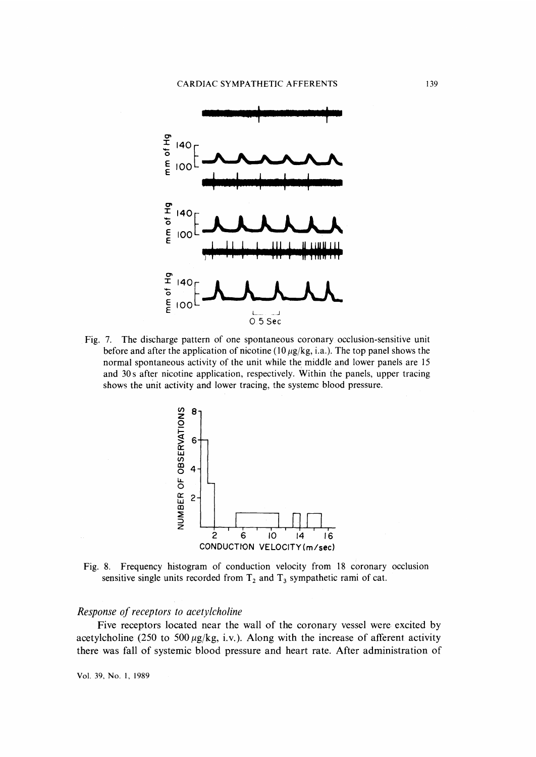

Fig. 7. The discharge pattern of one spontaneous coronary, occlusion-sensitive unit before and after the application of nicotine (10  $\mu$ g/kg, i.a.). The top panel shows the normal spontaneous activity of the unit while the middle and lower panels are 15 and 30s after nicotine application, respectively. Within the panels, upper tracing shows the unit activity and lower tracing, the systemc blood pressure.



Fig. 8. Frequency histogram of conduction velocity from 18 coronary occlusionsensitive single units recorded from  $T_2$  and  $T_3$  sympathetic rami of cate.

## Response of receptors to acetylcholine

 Five receptors located near the wall of the coronary vessel were excited by acetylcholine (250 to 500  $\mu$ g/kg, i.v.). Along with the increase of afferent activity there was fall of systemic blood pressure and heart rate. After administration of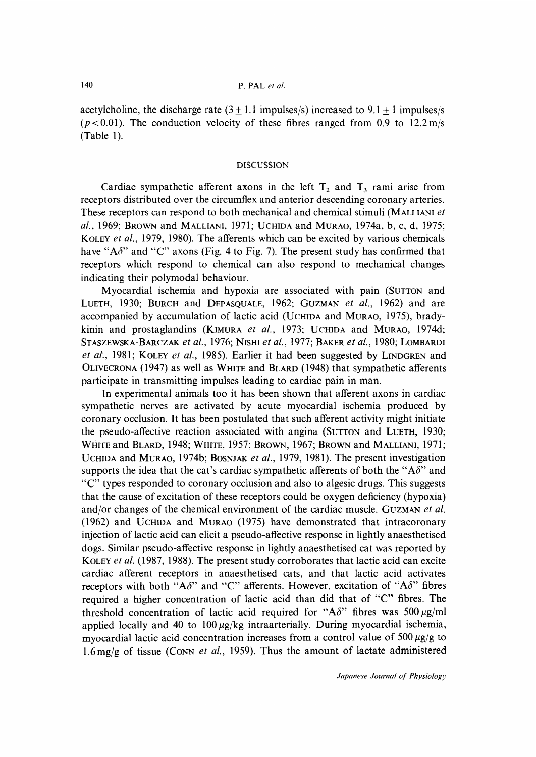acetylcholine, the discharge rate  $(3 \pm 1.1 \text{ impulses/s})$  increased to  $9.1 \pm 1 \text{ impulses/s}$  $(p<0.01)$ . The conduction velocity of these fibres ranged from 0.9 to 12.2 m/s (Table 1).

### DISCUSSION

Cardiac sympathetic afferent axons in the left  $T_2$  and  $T_3$  rami arise from receptors distributed over the circumflex and anterior descending coronary arteries. These receptors can respond to both mechanical and chemical stimuli (MALLIANI et al., 1969; BROWN and MALLIANI, 1971; UCHIDA and MURAO, 1974a, b, c, d, 1975; KoLEY et al., 1979, 1980). The afferents which can be excited by various chemicals have "A $\delta$ " and "C" axons (Fig. 4 to Fig. 7). The present study has confirmed that receptors which respond to chemical can also respond to mechanical changes indicating their polymodal behaviour.

 Myocardial ischemia and hypoxia are associated with pain (SUTTON and LUETH, 1930; BURCH and DEPASQUALE, 1962; GUZMAN et al., 1962) and are accompanied by accumulation of lactic acid (UCHIDA and MURAO, 1975), bradykinin and prostaglandins (KIMURA et al., 1973; UCHIDA and MURAO, 1974d; STASZEWSKA-BARCZAK et al., 1976; NISHI et al., 1977; BAKER et al., 1980; LOMBARDI et al., 1981; KOLEY et al., 1985). Earlier it had been suggested by LINDGREN and OLIVECRONA (1947) as well as WHITE and BLARD (1948) that sympathetic afferents participate in transmitting impulses leading to cardiac pain in man.

 In experimental animals too it has been shown that afferent axons in cardiac sympathetic nerves are activated by acute myocardial ischemia produced by coronary occlusion. It has been postulated that such afferent activity might initiate the pseudo-affective reaction associated with angina (SUTTON and LUETH, 1930; WHITE and BLARD, 1948; WHITE, 1957; BROWN, 1967; BROWN and MALLIANI, 1971; UCHIDA and MURAO, 1974b; BOSNJAK et al., 1979, 1981). The present investigation supports the idea that the cat's cardiac sympathetic afferents of both the " $A\delta$ " and "C" types responded to coronary occlusion and also to algesic drugs . This suggests that the cause of excitation of these receptors could be oxygen deficiency (hypoxia) and/or changes of the chemical environment of the cardiac muscle. GUZMAN et al. (1962) and UCHIDA and MURAo (1975) have demonstrated that intracoronary injection of lactic acid can elicit a pseudo-affective response in lightly anaesthetised dogs. Similar pseudo-affective response in lightly anaesthetised cat was reported by KOLEY *et al.* (1987, 1988). The present study corroborates that lactic acid can excite cardiac afferent receptors in anaesthetised cats, and that lactic acid activates receptors with both "A $\delta$ " and "C" afferents. However, excitation of "A $\delta$ " fibres required a higher concentration of lactic acid than did that of "C" fibres. The threshold concentration of lactic acid required for "A $\delta$ " fibres was 500  $\mu$ g/ml applied locally and 40 to  $100 \mu g/kg$  intraarterially. During myocardial ischemia, myocardial lactic acid concentration increases from a control value of  $500 \mu g/g$  to 1.6 mg/g of tissue (CONN et al., 1959). Thus the amount of lactate administered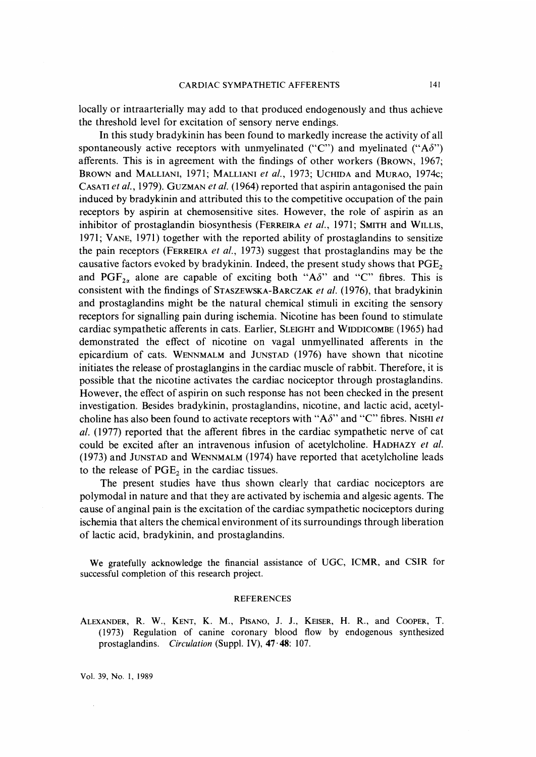locally or intraarterially may add to that produced endogenously and thus achieve the threshold level for excitation of sensory nerve endings.

 In this study bradykinin has been found to markedly increase the activity of all spontaneously active receptors with unmyelinated ("C") and myelinated (" $A\delta$ ") afferents. This is in agreement with the findings of other workers (BRowN, 1967; BROWN and MALLIANI, 1971; MALLIANI et al., 1973; UCHIDA and MURAO, 1974c; CASATI et al., 1979). GUZMAN et al. (1964) reported that aspirin antagonised the pain induced by bradykinin and attributed this to the competitive occupation of the pain receptors by aspirin at chemosensitive sites. However, the role of aspirin as an inhibitor of prostaglandin biosynthesis (FERREIRA et al., 1971; SMITH and WILLIS, 1971; VANE, 1971) together with the reported ability of prostaglandins to sensitize the pain receptors (FERREIRA et al., 1973) suggest that prostaglandins may be the causative factors evoked by bradykinin. Indeed, the present study shows that  $PGE_2$ and PGF<sub>2x</sub> alone are capable of exciting both "A $\delta$ " and "C" fibres. This is consistent with the findings of STASZEWSKA-BARCZAK et al. (1976), that bradykinin and prostaglandins might be the natural chemical stimuli in exciting the sensory receptors for signalling pain during ischemia. Nicotine has been found to stimulate cardiac sympathetic afferents in cats. Earlier, SLEIGHT and WIDDICOMBE (1965) had demonstrated the effect of nicotine on vagal unmyellinated afferents in the epicardium of cats. WENNMALM and JUNSTAD (1976) have shown that nicotine initiates the release of prostaglangins in the cardiac muscle of rabbit. Therefore, it is possible that the nicotine activates the cardiac nociceptor through prostaglandins. However, the effect of aspirin on such response has not been checked in the present investigation. Besides bradykinin, prostaglandins, nicotine, and lactic acid, acetylcholine has also been found to activate receptors with "A $\delta$ " and "C" fibres. NISHI *et* al. (1977) reported that the afferent fibres in the cardiac sympathetic nerve of cat could be excited after an intravenous infusion of acetylcholine. HADHAZY et al. (1973) and JUNSTAD and WENNMALM (1974) have reported that acetylcholine leads to the release of  $PGE<sub>2</sub>$  in the cardiac tissues.

 The present studies have thus shown clearly that cardiac nociceptors are polymodal in nature and that they are activated by ischemia and algesic agents. The cause of anginal pain is the excitation of the cardiac sympathetic nociceptors during ischemia that alters the chemical environment of its surroundings through liberation of lactic acid, bradykinin, and prostaglandins.

We gratefully acknowledge the financial assistance of UGC, ICMR, and CSIR for successful completion of this research project.

#### REFERENCES

ALEXANDER, R. W., KENT, K. M., PISANO, J. J., KEISER, H. R., and COOPER, T. (1973) Regulation of canine coronary blood flow by endogenous synthesized prostaglandins. Circulation (Suppl. IV), 47.48: 107.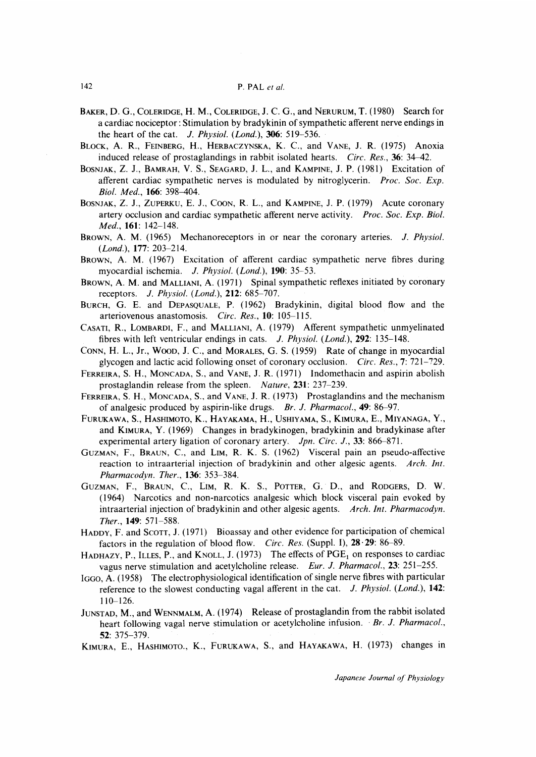- BAKER, D. G., COLERIDGE, H. M., COLERIDGE, J. C. G., and NERURUM, T. (1980) Search for a cardiac nociceptor : Stimulation by bradykinin of sympathetic afferent nerve endings in the heart of the cat.  $J. Physiol. (London.), 306: 519-536.$
- BLOCK, A. R., FEINBERG, H., HERBACZYNSKA, K.C., and VANE, J. R. (1975) Anoxia induced release of prostaglandings in rabbit isolated hearts. Circ. Res., 36: 34-42.
- BOSNJAK, Z. J., BAMRAH, V. S., SEAGARD, J. L., and KAMPINE, J. P. (1981) Excitation of afferent cardiac sympathetic nerves is modulated by nitroglycerin. Proc. Soc. Exp. Biol. Med., 166: 398-404.
- BOSNJAK, Z. J., ZUPERKU, E. J., COON, R. L., and KAMPINE, J. P. (1979) Acute coronary artery occlusion and cardiac sympathetic afferent nerve activity. Proc. Soc. Exp. Biol. Med., 1**61**: 142-148.
- BROWN, A. M. (1965) Mechanoreceptors in or near the coronary arteries. J. Physiol. (Lond.), 177: 203-214.
- BROWN, A. M. (1967) Excitation of afferent cardiac sympathetic nerve fibres during myocardial ischemia. J. Physiol. (Lond.), 190: 35-53.
- BROWN, A. M. and MALLIANI, A. (1971) Spinal sympathetic reflexes initiated by coronary receptors. J. Physiol. (Lond.), 212: 685-707.
- BURCH, G. E. and DEPASQUALE, P. (1962) Bradykinin, digital blood flow and the arteriovenous anastomosis. Circ. Res., 10: 105-115.
- CASATI, R., LoMBARDI, F., and MALLIANI, A. (1979) Afferent sympathetic unmyelinated fibres with left ventricular endings in cats. J. Physiol. (Lond.), 292: 135-148.
- CoNN, H. L., Jr., WooD, J. C., and MoRALES, G. S. (1959) Rate of change in myocardial glycogen and lactic acid following onset of coronary occlusion. Circ. Res., 7: 721-729.
- FERREIRA, S. H., MoNCADA, S., and VANE, J. R. (1971) Indomethacin and aspirin abolish prostaglandin release from the spleen. Nature, 231: 237-239.
- FERREIRA, S. H., MoNCADA, S., and VANE, J. R. (1973) Prostaglandins and the mechanism of analgesic produced by aspirin-like drugs. Br. J. Pharmacol., 49: 86-97.
- FURUKAWA, S., HASHIMOTO, K., HAYAKAMA, H., USHIYAMA, S., KIMURA, E., MIYANAGA, Y., and KIMURA, Y. (1969) Changes in bradykinogen, bradykinin and bradykinase after experimental artery ligation of coronary artery. *Jpn. Circ. J.*, 33: 866–871.
- GUZMAN, F., BRAUN, C., and LIM, R. K. S. (1962) Visceral pain an pseudo-affective reaction to intraarterial injection of bradykinin and other algesic agents. Arch. Int. Pharmacodyn. Ther., 136: 353-384.
- GUZMAN, F., BRAUN, C., LIM, R. K. S., POTTER, G. D., and RODGERS, D. W. (1964) Narcotics and non-narcotics analgesic which block visceral pain evoked by intraarterial injection of bradykinin and other algesic agents. Arch. Int. Pharmacodyn. Ther.,149: 571-588.
- HADDY, F. and SCOTT, J. (1971) Bioassay and other evidence for participation of chemical factors in the regulation of blood flow. Circ. Res. (Suppl. I), 28.29: 86-89.
- HADHAZY, P., ILLES, P., and KNOLL, J. (1973) The effects of  $PGE<sub>1</sub>$  on responses to cardiac vagus nerve stimulation and acetylcholine release. Eur. J. Pharmacol., 23: 251-255.
- IGGO, A. (1958) The electrophysiological identification of single nerve fibres with particular reference to the slowest conducting vagal afferent in the cat. J. Physiol. (Lond.), 142: 110-126.
- JUNSTAD, M., and WENNMALM, A. (1974) Release of prostaglandin from the rabbit isolated heart following vagal nerve stimulation or acetylcholine infusion. Br. J. Pharmacol., 52: 375-379.
- KIMURA, E., HASHIMOTO., K., FURUKAWA, S., and HAYAKAWA, H. (1973) changes in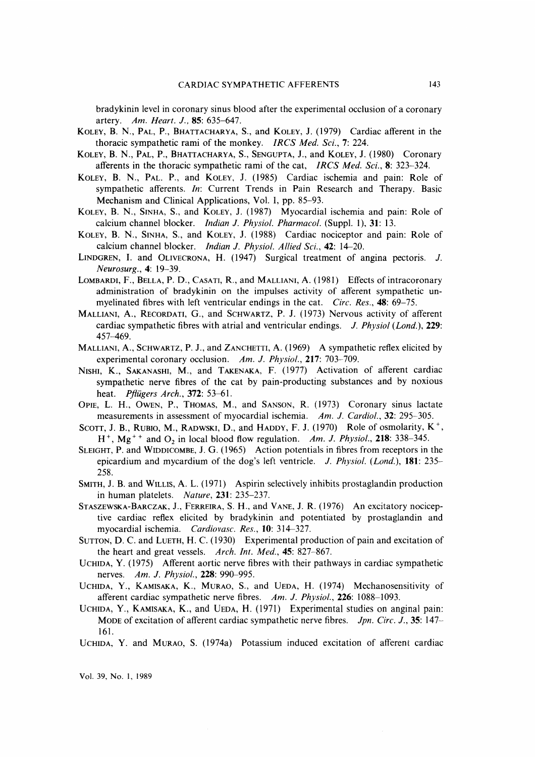bradykinin level in coronary sinus blood after the experimental occlusion of a coronary artery. Am. Heart. J., 85: 635-647.

- KOLEY, B. N., PAL, P., BHATTACHARYA, S., and KOLEY, J. (1979) Cardiac afferent in the thoracic sympathetic rami of the monkey. IRCS Med. Sci., 7: 224.
- KOLEY, B. N., PAL, P., BHATTACHARYA, S., SENGUPTA, J., and KOLEY, J. (1980) Coronary afferents in the thoracic sympathetic rami of the cat, IRCS Med. Sci., 8: 323-324.
- KOLEY, B. N., PAL. P., and KoLEY, J. (1985) Cardiac ischemia and pain: Role of sympathetic afferents. In: Current Trends in Pain Research and Therapy. Basic Mechanism and Clinical Applications, Vol. I, pp. 85-93.
- KOLEY, B. N., SINHA, S., and KoLEY, J. (1987) Myocardial ischemia and pain: Role of calcium channel blocker. Indian J. Physiol. Pharmacol. (Suppl. 1), 31: 13.
- KoLEY, B. N., SINHA, S., and KoLEY, J. (1988) Cardiac nociceptor and pain: Role of calcium channel blocker. Indian J. Physiol. Allied Sci., 42: 14-20.
- LINDGREN, I. and OLIVECRONA, H. (1947) Surgical treatment of angina pectoris. J. Neurosurg., 4: 19-39.
- LOMBARDI, F., BELLA, P. D., CASATI, R., and MALLIANI, A. (1981) Effects of intracoronary administration of bradykinin on the impulses activity of afferent sympathetic un myelinated fibres with left ventricular endings in the cat. Circ. Res., 48: 69–75.
- MALLIANI, A., RECORDATI, G., and SCHWARTZ, P. J. (1973) Nervous activity of afferent cardiac sympathetic fibres with atrial and ventricular endings. J. Physiol (Lond.), 229: 457-469.
- MALLIANI, A., SCHWARTZ, P. J., and ZANCHETTI, A. (1969) A sympathetic reflex elicited by experimental coronary occlusion. Am. J. Physiol., 217: 703-709.
- NISHI, K., SAKANASHI, M., and TAKENAKA, F. (1977) Activation of afferent cardiac sympathetic nerve fibres of the cat by pain-producting substances and by noxious heat. Pflügers Arch., 372: 53-61.
- OPIE, L. H., OWEN, P., THOMAS, M., and SANSON, R. (1973) Coronary sinus lactate measurements in assessment of myocardial ischemia. Am. J. Cardiol., 32: 295–305.
- SCOTT, J. B., RUBIO, M., RADWSKI, D., and HADDY, F. J. (1970) Role of osmolarity,  $K^+$ ,  $H^+$ , Mg<sup>++</sup> and O<sub>2</sub> in local blood flow regulation. Am. J. Physiol., 218: 338–345.
- SLEIGHT, P. and WIDDICOMBE, J. G. (1965) Action potentials in fibres from receptors in the epicardium and mycardium of the dog's left ventricle. J. Physiol. (Lond.),  $181: 235-$ 258.
- SMITH, J. B. and WILLIS, A. L. (1971) Aspirin selectively inhibits prostaglandin production in human platelets. Nature, 231: 235-237.
- STASZEWSKA-BARCZAK, J., FERREIRA, S. H., and VANE, J. R. (1976) An excitatory noclcep tive cardiac reflex elicited by bradykinin and potentiated by prostaglandin and myocardial ischemia. Cardiovasc. Res., 10: 314-327.
- SUTTON, D. C. and LUETH, H. C. (1930) Experimental production of pain and excitation of the heart and great vessels. Arch. Int. Med., 45: 827-867.
- UCHIDA, Y. (1975) Afferent aortic nerve fibres with their pathways in cardiac sympathetic nerves. Am. J. Physiol., 228: 990-995.
- UCHIDA, Y., KAMISAKA, K., MURAO, S., and VEDA, H. (1974) Mechanosensitivity of afferent cardiac sympathetic nerve fibres. Am. J. Physiol., 226: 1088-1093.
- UCHIDA, Y., KAMISAKA, K., and VEDA, H. (1971) Experimental studies on anginal pain: MODE of excitation of afferent cardiac sympathetic nerve fibres. *Jpn. Circ. J.*, 35: 147-161.
- UCHIDA, Y. and MURAO, S. (1974a) Potassium induced excitation of afferent cardiac